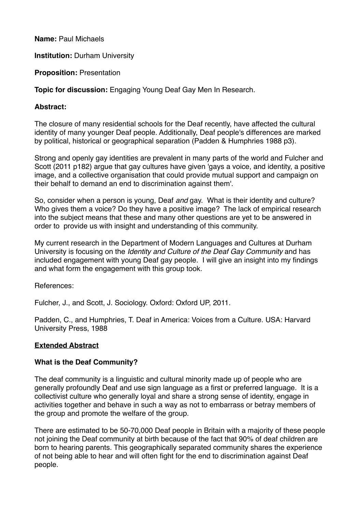**Name:** Paul Michaels

**Institution: Durham University** 

**Proposition:** Presentation

**Topic for discussion:** Engaging Young Deaf Gay Men In Research.

### **Abstract:**

The closure of many residential schools for the Deaf recently, have affected the cultural identity of many younger Deaf people. Additionally, Deaf people's differences are marked by political, historical or geographical separation (Padden & Humphries 1988 p3).

Strong and openly gay identities are prevalent in many parts of the world and Fulcher and Scott (2011 p182) argue that gay cultures have given 'gays a voice, and identity, a positive image, and a collective organisation that could provide mutual support and campaign on their behalf to demand an end to discrimination against them'.

So, consider when a person is young, Deaf *and* gay. What is their identity and culture? Who gives them a voice? Do they have a positive image? The lack of empirical research into the subject means that these and many other questions are yet to be answered in order to provide us with insight and understanding of this community.

My current research in the Department of Modern Languages and Cultures at Durham University is focusing on the *Identity and Culture of the Deaf Gay Community* and has included engagement with young Deaf gay people. I will give an insight into my findings and what form the engagement with this group took.

References:

Fulcher, J., and Scott, J. Sociology. Oxford: Oxford UP, 2011.

Padden, C., and Humphries, T. Deaf in America: Voices from a Culture. USA: Harvard University Press, 1988

## **Extended Abstract**

## **What is the Deaf Community?**

The deaf community is a linguistic and cultural minority made up of people who are generally profoundly Deaf and use sign language as a first or preferred language. It is a collectivist culture who generally loyal and share a strong sense of identity, engage in activities together and behave in such a way as not to embarrass or betray members of the group and promote the welfare of the group.

There are estimated to be 50-70,000 Deaf people in Britain with a majority of these people not joining the Deaf community at birth because of the fact that 90% of deaf children are born to hearing parents. This geographically separated community shares the experience of not being able to hear and will often fight for the end to discrimination against Deaf people.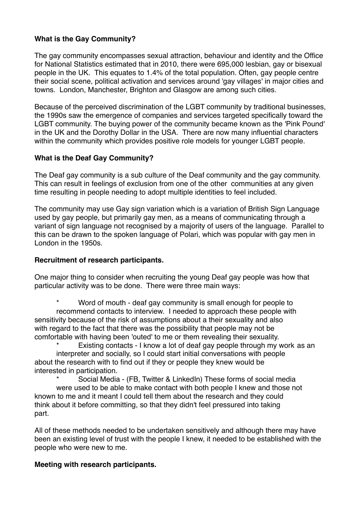## **What is the Gay Community?**

The gay community encompasses sexual attraction, behaviour and identity and the Office for National Statistics estimated that in 2010, there were 695,000 lesbian, gay or bisexual people in the UK. This equates to 1.4% of the total population. Often, gay people centre their social scene, political activation and services around 'gay villages' in major cities and towns. London, Manchester, Brighton and Glasgow are among such cities.

Because of the perceived discrimination of the LGBT community by traditional businesses, the 1990s saw the emergence of companies and services targeted specifically toward the LGBT community. The buying power of the community became known as the 'Pink Pound' in the UK and the Dorothy Dollar in the USA. There are now many influential characters within the community which provides positive role models for younger LGBT people.

# **What is the Deaf Gay Community?**

The Deaf gay community is a sub culture of the Deaf community and the gay community. This can result in feelings of exclusion from one of the other communities at any given time resulting in people needing to adopt multiple identities to feel included.

The community may use Gay sign variation which is a variation of British Sign Language used by gay people, but primarily gay men, as a means of communicating through a variant of sign language not recognised by a majority of users of the language. Parallel to this can be drawn to the spoken language of Polari, which was popular with gay men in London in the 1950s.

## **Recruitment of research participants.**

One major thing to consider when recruiting the young Deaf gay people was how that particular activity was to be done. There were three main ways:

Word of mouth - deaf gay community is small enough for people to recommend contacts to interview. I needed to approach these people with sensitivity because of the risk of assumptions about a their sexuality and also with regard to the fact that there was the possibility that people may not be comfortable with having been 'outed' to me or them revealing their sexuality.

Existing contacts - I know a lot of deaf gay people through my work as an interpreter and socially, so I could start initial conversations with people about the research with to find out if they or people they knew would be interested in participation.

Social Media - (FB, Twitter & LinkedIn) These forms of social media were used to be able to make contact with both people I knew and those not known to me and it meant I could tell them about the research and they could think about it before committing, so that they didn't feel pressured into taking part.

All of these methods needed to be undertaken sensitively and although there may have been an existing level of trust with the people I knew, it needed to be established with the people who were new to me.

### **Meeting with research participants.**